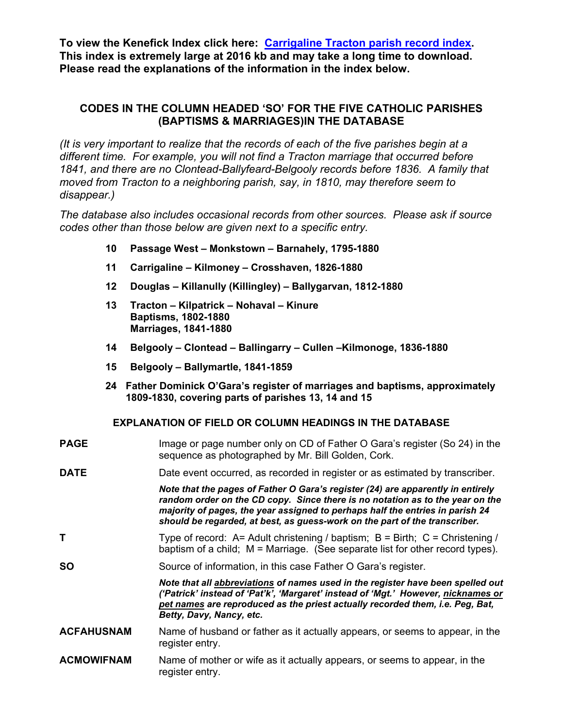**To view the Kenefick Index click here: [Carrigaline Tracton parish record index.](http://www.kenefick.com/Carrigaline_Tracton_parish_record_index.htm) This index is extremely large at 2016 kb and may take a long time to download. Please read the explanations of the information in the index below.** 

## **CODES IN THE COLUMN HEADED 'SO' FOR THE FIVE CATHOLIC PARISHES (BAPTISMS & MARRIAGES)IN THE DATABASE**

*(It is very important to realize that the records of each of the five parishes begin at a different time. For example, you will not find a Tracton marriage that occurred before 1841, and there are no Clontead-Ballyfeard-Belgooly records before 1836. A family that moved from Tracton to a neighboring parish, say, in 1810, may therefore seem to disappear.)* 

*The database also includes occasional records from other sources. Please ask if source codes other than those below are given next to a specific entry.* 

- **10 Passage West Monkstown Barnahely, 1795-1880**
- **11 Carrigaline Kilmoney Crosshaven, 1826-1880**
- **12 Douglas Killanully (Killingley) Ballygarvan, 1812-1880**
- **13 Tracton Kilpatrick Nohaval Kinure Baptisms, 1802-1880 Marriages, 1841-1880**
- **14 Belgooly Clontead Ballingarry Cullen –Kilmonoge, 1836-1880**
- **15 Belgooly Ballymartle, 1841-1859**
- **24 Father Dominick O'Gara's register of marriages and baptisms, approximately 1809-1830, covering parts of parishes 13, 14 and 15**

## **EXPLANATION OF FIELD OR COLUMN HEADINGS IN THE DATABASE**

| <b>PAGE</b>       | Image or page number only on CD of Father O Gara's register (So 24) in the<br>sequence as photographed by Mr. Bill Golden, Cork.                                                                                                                                                                                                |
|-------------------|---------------------------------------------------------------------------------------------------------------------------------------------------------------------------------------------------------------------------------------------------------------------------------------------------------------------------------|
| <b>DATE</b>       | Date event occurred, as recorded in register or as estimated by transcriber.                                                                                                                                                                                                                                                    |
|                   | Note that the pages of Father O Gara's register (24) are apparently in entirely<br>random order on the CD copy. Since there is no notation as to the year on the<br>majority of pages, the year assigned to perhaps half the entries in parish 24<br>should be regarded, at best, as guess-work on the part of the transcriber. |
| т                 | Type of record: A= Adult christening / baptism; B = Birth; $C =$ Christening /<br>baptism of a child; M = Marriage. (See separate list for other record types).                                                                                                                                                                 |
| <b>SO</b>         | Source of information, in this case Father O Gara's register.                                                                                                                                                                                                                                                                   |
|                   | Note that all abbreviations of names used in the register have been spelled out<br>('Patrick' instead of 'Pat'k', 'Margaret' instead of 'Mgt.' However, nicknames or<br>pet names are reproduced as the priest actually recorded them, i.e. Peg, Bat,<br>Betty, Davy, Nancy, etc.                                               |
| <b>ACFAHUSNAM</b> | Name of husband or father as it actually appears, or seems to appear, in the<br>register entry.                                                                                                                                                                                                                                 |
| <b>ACMOWIFNAM</b> | Name of mother or wife as it actually appears, or seems to appear, in the<br>register entry.                                                                                                                                                                                                                                    |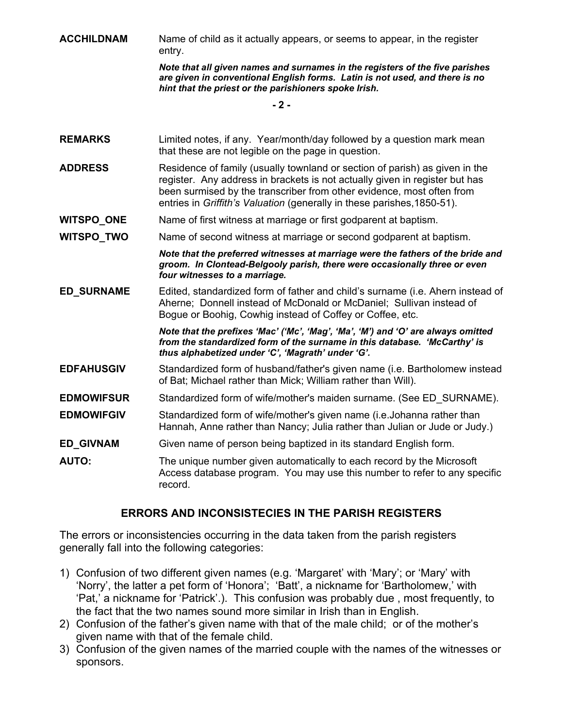**ACCHILDNAM** Name of child as it actually appears, or seems to appear, in the register entry.

> *Note that all given names and surnames in the registers of the five parishes are given in conventional English forms. Latin is not used, and there is no hint that the priest or the parishioners spoke Irish.*

> > **- 2 -**

- **REMARKS** Limited notes, if any. Year/month/day followed by a question mark mean that these are not legible on the page in question.
- **ADDRESS** Residence of family (usually townland or section of parish) as given in the register. Any address in brackets is not actually given in register but has been surmised by the transcriber from other evidence, most often from entries in *Griffith's Valuation* (generally in these parishes,1850-51).
- **WITSPO ONE** Name of first witness at marriage or first godparent at baptism.

**WITSPO TWO** Name of second witness at marriage or second godparent at baptism.

*Note that the preferred witnesses at marriage were the fathers of the bride and groom. In Clontead-Belgooly parish, there were occasionally three or even four witnesses to a marriage.* 

**ED SURNAME** Edited, standardized form of father and child's surname (i.e. Ahern instead of Aherne; Donnell instead of McDonald or McDaniel; Sullivan instead of Bogue or Boohig, Cowhig instead of Coffey or Coffee, etc.

> *Note that the prefixes 'Mac' ('Mc', 'Mag', 'Ma', 'M') and 'O' are always omitted from the standardized form of the surname in this database. 'McCarthy' is thus alphabetized under 'C', 'Magrath' under 'G'.*

- **EDFAHUSGIV** Standardized form of husband/father's given name (i.e. Bartholomew instead of Bat; Michael rather than Mick; William rather than Will).
- **EDMOWIFSUR** Standardized form of wife/mother's maiden surname. (See ED\_SURNAME).
- **EDMOWIFGIV** Standardized form of wife/mother's given name (i.e.Johanna rather than Hannah, Anne rather than Nancy; Julia rather than Julian or Jude or Judy.)
- **ED\_GIVNAM** Given name of person being baptized in its standard English form.
- **AUTO:** The unique number given automatically to each record by the Microsoft Access database program. You may use this number to refer to any specific record.

## **ERRORS AND INCONSISTECIES IN THE PARISH REGISTERS**

The errors or inconsistencies occurring in the data taken from the parish registers generally fall into the following categories:

- 1) Confusion of two different given names (e.g. 'Margaret' with 'Mary'; or 'Mary' with 'Norry', the latter a pet form of 'Honora'; 'Batt', a nickname for 'Bartholomew,' with 'Pat,' a nickname for 'Patrick'.). This confusion was probably due , most frequently, to the fact that the two names sound more similar in Irish than in English.
- 2) Confusion of the father's given name with that of the male child; or of the mother's given name with that of the female child.
- 3) Confusion of the given names of the married couple with the names of the witnesses or sponsors.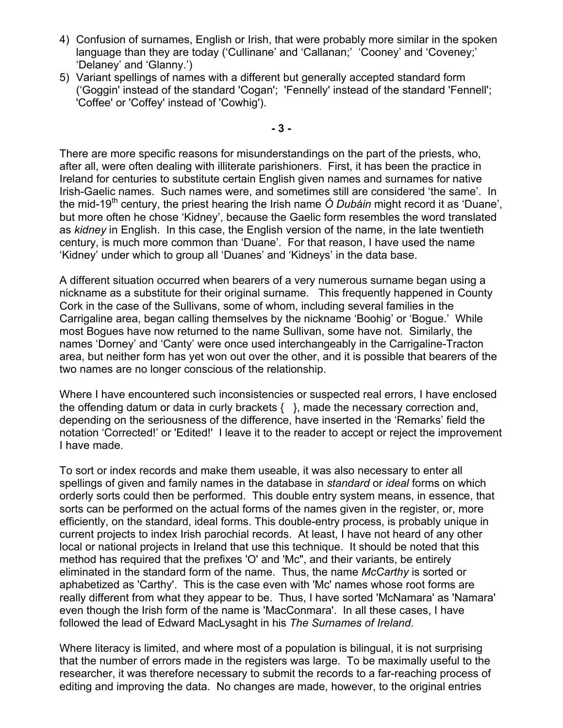- 4) Confusion of surnames, English or Irish, that were probably more similar in the spoken language than they are today ('Cullinane' and 'Callanan;' 'Cooney' and 'Coveney;' 'Delaney' and 'Glanny.')
- 5) Variant spellings of names with a different but generally accepted standard form ('Goggin' instead of the standard 'Cogan'; 'Fennelly' instead of the standard 'Fennell'; 'Coffee' or 'Coffey' instead of 'Cowhig').

**- 3 -** 

There are more specific reasons for misunderstandings on the part of the priests, who, after all, were often dealing with illiterate parishioners. First, it has been the practice in Ireland for centuries to substitute certain English given names and surnames for native Irish-Gaelic names. Such names were, and sometimes still are considered 'the same'. In the mid-19<sup>th</sup> century, the priest hearing the Irish name *Ó Dubáin* might record it as 'Duane', but more often he chose 'Kidney', because the Gaelic form resembles the word translated as *kidney* in English. In this case, the English version of the name, in the late twentieth century, is much more common than 'Duane'. For that reason, I have used the name 'Kidney' under which to group all 'Duanes' and 'Kidneys' in the data base.

A different situation occurred when bearers of a very numerous surname began using a nickname as a substitute for their original surname. This frequently happened in County Cork in the case of the Sullivans, some of whom, including several families in the Carrigaline area, began calling themselves by the nickname 'Boohig' or 'Bogue.' While most Bogues have now returned to the name Sullivan, some have not. Similarly, the names 'Dorney' and 'Canty' were once used interchangeably in the Carrigaline-Tracton area, but neither form has yet won out over the other, and it is possible that bearers of the two names are no longer conscious of the relationship.

Where I have encountered such inconsistencies or suspected real errors, I have enclosed the offending datum or data in curly brackets { }, made the necessary correction and, depending on the seriousness of the difference, have inserted in the 'Remarks' field the notation 'Corrected!' or 'Edited!' I leave it to the reader to accept or reject the improvement I have made.

To sort or index records and make them useable, it was also necessary to enter all spellings of given and family names in the database in *standard* or *ideal* forms on which orderly sorts could then be performed. This double entry system means, in essence, that sorts can be performed on the actual forms of the names given in the register, or, more efficiently, on the standard, ideal forms. This double-entry process, is probably unique in current projects to index Irish parochial records. At least, I have not heard of any other local or national projects in Ireland that use this technique. It should be noted that this method has required that the prefixes 'O' and 'Mc", and their variants, be entirely eliminated in the standard form of the name. Thus, the name *McCarthy* is sorted or aphabetized as 'Carthy'. This is the case even with 'Mc' names whose root forms are really different from what they appear to be. Thus, I have sorted 'McNamara' as 'Namara' even though the Irish form of the name is 'MacConmara'. In all these cases, I have followed the lead of Edward MacLysaght in his *The Surnames of Ireland*.

Where literacy is limited, and where most of a population is bilingual, it is not surprising that the number of errors made in the registers was large. To be maximally useful to the researcher, it was therefore necessary to submit the records to a far-reaching process of editing and improving the data. No changes are made, however, to the original entries